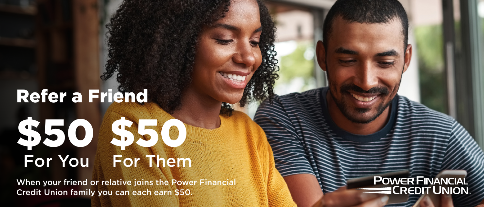## Refer a Friend \$50 \$50 For You For Them

When your friend or relative joins the Power Financial Credit Union family you can each earn \$50.